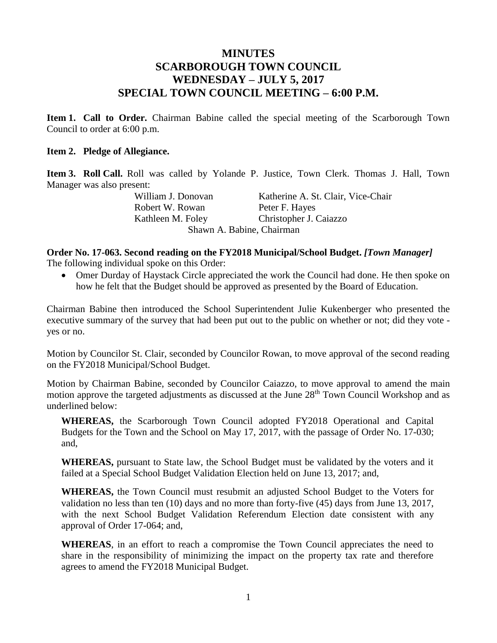## **MINUTES SCARBOROUGH TOWN COUNCIL WEDNESDAY – JULY 5, 2017 SPECIAL TOWN COUNCIL MEETING – 6:00 P.M.**

**Item 1. Call to Order.** Chairman Babine called the special meeting of the Scarborough Town Council to order at 6:00 p.m.

## **Item 2. Pledge of Allegiance.**

**Item 3. Roll Call.** Roll was called by Yolande P. Justice, Town Clerk. Thomas J. Hall, Town Manager was also present:

Robert W. Rowan Peter F. Hayes

William J. Donovan Katherine A. St. Clair, Vice-Chair Kathleen M. Foley Christopher J. Caiazzo Shawn A. Babine, Chairman

## **Order No. 17-063. Second reading on the FY2018 Municipal/School Budget.** *[Town Manager]* The following individual spoke on this Order:

• Omer Durday of Haystack Circle appreciated the work the Council had done. He then spoke on how he felt that the Budget should be approved as presented by the Board of Education.

Chairman Babine then introduced the School Superintendent Julie Kukenberger who presented the executive summary of the survey that had been put out to the public on whether or not; did they vote yes or no.

Motion by Councilor St. Clair, seconded by Councilor Rowan, to move approval of the second reading on the FY2018 Municipal/School Budget.

Motion by Chairman Babine, seconded by Councilor Caiazzo, to move approval to amend the main motion approve the targeted adjustments as discussed at the June 28<sup>th</sup> Town Council Workshop and as underlined below:

**WHEREAS,** the Scarborough Town Council adopted FY2018 Operational and Capital Budgets for the Town and the School on May 17, 2017, with the passage of Order No. 17-030; and,

**WHEREAS,** pursuant to State law, the School Budget must be validated by the voters and it failed at a Special School Budget Validation Election held on June 13, 2017; and,

**WHEREAS,** the Town Council must resubmit an adjusted School Budget to the Voters for validation no less than ten (10) days and no more than forty-five (45) days from June 13, 2017, with the next School Budget Validation Referendum Election date consistent with any approval of Order 17-064; and,

**WHEREAS**, in an effort to reach a compromise the Town Council appreciates the need to share in the responsibility of minimizing the impact on the property tax rate and therefore agrees to amend the FY2018 Municipal Budget.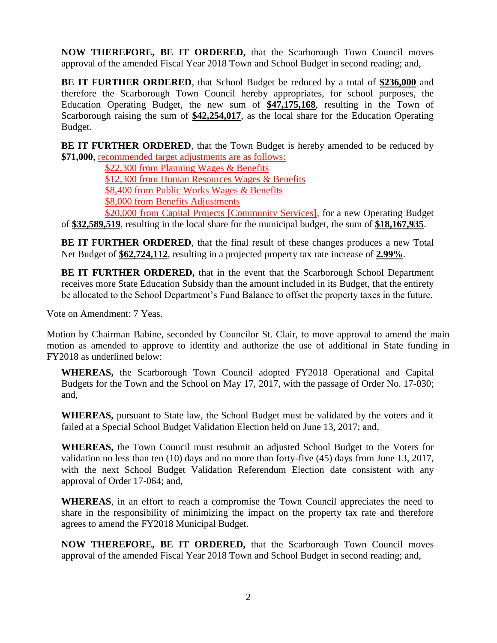**NOW THEREFORE, BE IT ORDERED,** that the Scarborough Town Council moves approval of the amended Fiscal Year 2018 Town and School Budget in second reading; and,

**BE IT FURTHER ORDERED**, that School Budget be reduced by a total of **\$236,000** and therefore the Scarborough Town Council hereby appropriates, for school purposes, the Education Operating Budget, the new sum of **\$47,175,168**, resulting in the Town of Scarborough raising the sum of  $$42,254,017$ , as the local share for the Education Operating Budget.

**BE IT FURTHER ORDERED**, that the Town Budget is hereby amended to be reduced by **\$71,000**, recommended target adjustments are as follows:

\$22,300 from Planning Wages & Benefits

\$12,300 from Human Resources Wages & Benefits

\$8,400 from Public Works Wages & Benefits

\$8,000 from Benefits Adjustments

\$20,000 from Capital Projects [Community Services], for a new Operating Budget of **\$32,589,519**, resulting in the local share for the municipal budget, the sum of **\$18,167,935**.

**BE IT FURTHER ORDERED,** that the final result of these changes produces a new Total Net Budget of **\$62,724,112**, resulting in a projected property tax rate increase of **2.99%**.

**BE IT FURTHER ORDERED,** that in the event that the Scarborough School Department receives more State Education Subsidy than the amount included in its Budget, that the entirety be allocated to the School Department's Fund Balance to offset the property taxes in the future.

Vote on Amendment: 7 Yeas.

Motion by Chairman Babine, seconded by Councilor St. Clair, to move approval to amend the main motion as amended to approve to identity and authorize the use of additional in State funding in FY2018 as underlined below:

**WHEREAS,** the Scarborough Town Council adopted FY2018 Operational and Capital Budgets for the Town and the School on May 17, 2017, with the passage of Order No. 17-030; and,

**WHEREAS,** pursuant to State law, the School Budget must be validated by the voters and it failed at a Special School Budget Validation Election held on June 13, 2017; and,

**WHEREAS,** the Town Council must resubmit an adjusted School Budget to the Voters for validation no less than ten (10) days and no more than forty-five (45) days from June 13, 2017, with the next School Budget Validation Referendum Election date consistent with any approval of Order 17-064; and,

**WHEREAS**, in an effort to reach a compromise the Town Council appreciates the need to share in the responsibility of minimizing the impact on the property tax rate and therefore agrees to amend the FY2018 Municipal Budget.

**NOW THEREFORE, BE IT ORDERED,** that the Scarborough Town Council moves approval of the amended Fiscal Year 2018 Town and School Budget in second reading; and,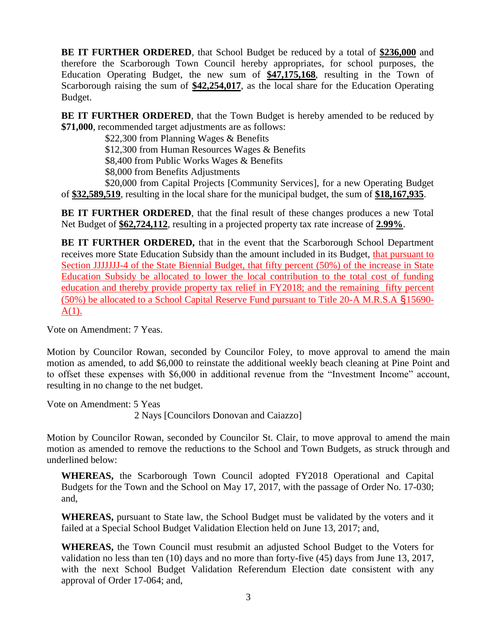**BE IT FURTHER ORDERED**, that School Budget be reduced by a total of **\$236,000** and therefore the Scarborough Town Council hereby appropriates, for school purposes, the Education Operating Budget, the new sum of **\$47,175,168**, resulting in the Town of Scarborough raising the sum of **\$42,254,017**, as the local share for the Education Operating Budget.

**BE IT FURTHER ORDERED**, that the Town Budget is hereby amended to be reduced by **\$71,000**, recommended target adjustments are as follows:

\$22,300 from Planning Wages & Benefits

\$12,300 from Human Resources Wages & Benefits

\$8,400 from Public Works Wages & Benefits

\$8,000 from Benefits Adjustments

\$20,000 from Capital Projects [Community Services], for a new Operating Budget of **\$32,589,519**, resulting in the local share for the municipal budget, the sum of **\$18,167,935**.

**BE IT FURTHER ORDERED**, that the final result of these changes produces a new Total Net Budget of **\$62,724,112**, resulting in a projected property tax rate increase of **2.99%**.

**BE IT FURTHER ORDERED,** that in the event that the Scarborough School Department receives more State Education Subsidy than the amount included in its Budget, that pursuant to Section JJJJJJJ-4 of the State Biennial Budget, that fifty percent (50%) of the increase in State Education Subsidy be allocated to lower the local contribution to the total cost of funding education and thereby provide property tax relief in FY2018; and the remaining fifty percent (50%) be allocated to a School Capital Reserve Fund pursuant to Title 20-A M.R.S.A §15690-  $A(1)$ .

Vote on Amendment: 7 Yeas.

Motion by Councilor Rowan, seconded by Councilor Foley, to move approval to amend the main motion as amended, to add \$6,000 to reinstate the additional weekly beach cleaning at Pine Point and to offset these expenses with \$6,000 in additional revenue from the "Investment Income" account, resulting in no change to the net budget.

Vote on Amendment: 5 Yeas 2 Nays [Councilors Donovan and Caiazzo]

Motion by Councilor Rowan, seconded by Councilor St. Clair, to move approval to amend the main motion as amended to remove the reductions to the School and Town Budgets, as struck through and underlined below:

**WHEREAS,** the Scarborough Town Council adopted FY2018 Operational and Capital Budgets for the Town and the School on May 17, 2017, with the passage of Order No. 17-030; and,

**WHEREAS,** pursuant to State law, the School Budget must be validated by the voters and it failed at a Special School Budget Validation Election held on June 13, 2017; and,

**WHEREAS,** the Town Council must resubmit an adjusted School Budget to the Voters for validation no less than ten (10) days and no more than forty-five (45) days from June 13, 2017, with the next School Budget Validation Referendum Election date consistent with any approval of Order 17-064; and,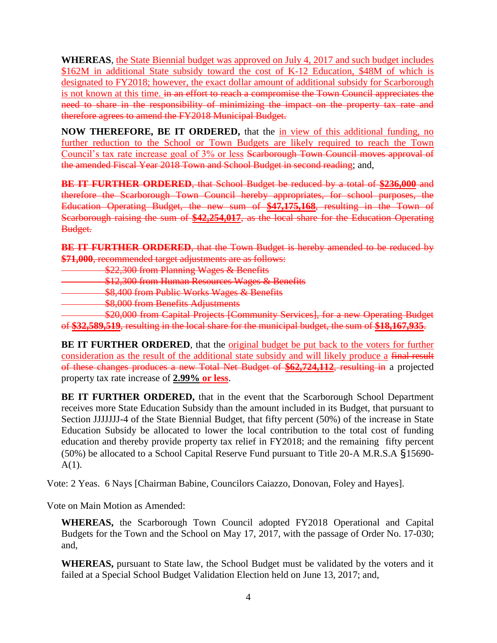**WHEREAS**, the State Biennial budget was approved on July 4, 2017 and such budget includes \$162M in additional State subsidy toward the cost of K-12 Education, \$48M of which is designated to FY2018; however, the exact dollar amount of additional subsidy for Scarborough is not known at this time. in an effort to reach a compromise the Town Council appreciates the need to share in the responsibility of minimizing the impact on the property tax rate and therefore agrees to amend the FY2018 Municipal Budget.

**NOW THEREFORE, BE IT ORDERED,** that the in view of this additional funding, no further reduction to the School or Town Budgets are likely required to reach the Town Council's tax rate increase goal of 3% or less Scarborough Town Council moves approval of the amended Fiscal Year 2018 Town and School Budget in second reading; and,

**BE IT FURTHER ORDERED**, that School Budget be reduced by a total of **\$236,000** and therefore the Scarborough Town Council hereby appropriates, for school purposes, the Education Operating Budget, the new sum of **\$47,175,168**, resulting in the Town of Scarborough raising the sum of **\$42,254,017**, as the local share for the Education Operating Budget.

**BE IT FURTHER ORDERED**, that the Town Budget is hereby amended to be reduced by **\$71,000**, recommended target adjustments are as follows:

\$22,300 from Planning Wages & Benefits

\$12,300 from Human Resources Wages & Benefits

**\$8,400 from Public Works Wages & Benefits** 

**\$8,000 from Benefits Adjustments** 

 $\frac{1}{20,000}$  from Equital Projects [Community Services], for a new Operating Budget of **\$32,589,519**, resulting in the local share for the municipal budget, the sum of **\$18,167,935**.

**BE IT FURTHER ORDERED**, that the original budget be put back to the voters for further consideration as the result of the additional state subsidy and will likely produce a final result of these changes produces a new Total Net Budget of **\$62,724,112**, resulting in a projected property tax rate increase of **2.99% or less**.

**BE IT FURTHER ORDERED,** that in the event that the Scarborough School Department receives more State Education Subsidy than the amount included in its Budget, that pursuant to Section JJJJJJJ-4 of the State Biennial Budget, that fifty percent (50%) of the increase in State Education Subsidy be allocated to lower the local contribution to the total cost of funding education and thereby provide property tax relief in FY2018; and the remaining fifty percent (50%) be allocated to a School Capital Reserve Fund pursuant to Title 20-A M.R.S.A §15690-  $A(1)$ .

Vote: 2 Yeas. 6 Nays [Chairman Babine, Councilors Caiazzo, Donovan, Foley and Hayes].

Vote on Main Motion as Amended:

**WHEREAS,** the Scarborough Town Council adopted FY2018 Operational and Capital Budgets for the Town and the School on May 17, 2017, with the passage of Order No. 17-030; and,

**WHEREAS,** pursuant to State law, the School Budget must be validated by the voters and it failed at a Special School Budget Validation Election held on June 13, 2017; and,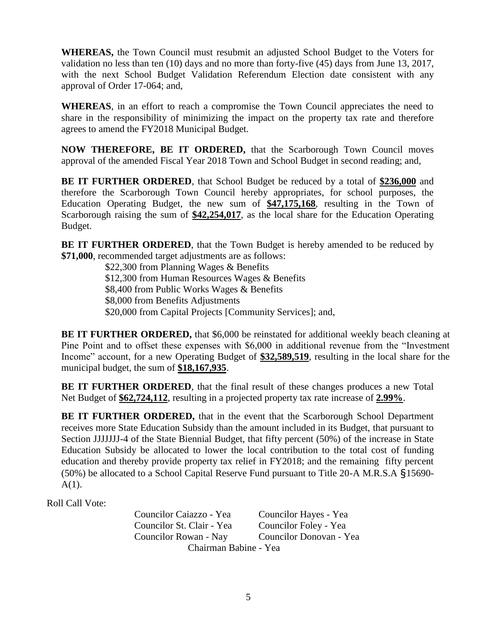**WHEREAS,** the Town Council must resubmit an adjusted School Budget to the Voters for validation no less than ten (10) days and no more than forty-five (45) days from June 13, 2017, with the next School Budget Validation Referendum Election date consistent with any approval of Order 17-064; and,

**WHEREAS**, in an effort to reach a compromise the Town Council appreciates the need to share in the responsibility of minimizing the impact on the property tax rate and therefore agrees to amend the FY2018 Municipal Budget.

**NOW THEREFORE, BE IT ORDERED,** that the Scarborough Town Council moves approval of the amended Fiscal Year 2018 Town and School Budget in second reading; and,

**BE IT FURTHER ORDERED**, that School Budget be reduced by a total of **\$236,000** and therefore the Scarborough Town Council hereby appropriates, for school purposes, the Education Operating Budget, the new sum of **\$47,175,168**, resulting in the Town of Scarborough raising the sum of **\$42,254,017**, as the local share for the Education Operating Budget.

**BE IT FURTHER ORDERED**, that the Town Budget is hereby amended to be reduced by **\$71,000**, recommended target adjustments are as follows:

> \$22,300 from Planning Wages & Benefits \$12,300 from Human Resources Wages & Benefits \$8,400 from Public Works Wages & Benefits \$8,000 from Benefits Adjustments \$20,000 from Capital Projects [Community Services]; and,

**BE IT FURTHER ORDERED,** that \$6,000 be reinstated for additional weekly beach cleaning at Pine Point and to offset these expenses with \$6,000 in additional revenue from the "Investment Income" account, for a new Operating Budget of **\$32,589,519**, resulting in the local share for the municipal budget, the sum of **\$18,167,935**.

**BE IT FURTHER ORDERED**, that the final result of these changes produces a new Total Net Budget of **\$62,724,112**, resulting in a projected property tax rate increase of **2.99%**.

**BE IT FURTHER ORDERED,** that in the event that the Scarborough School Department receives more State Education Subsidy than the amount included in its Budget, that pursuant to Section JJJJJJJ-4 of the State Biennial Budget, that fifty percent (50%) of the increase in State Education Subsidy be allocated to lower the local contribution to the total cost of funding education and thereby provide property tax relief in FY2018; and the remaining fifty percent (50%) be allocated to a School Capital Reserve Fund pursuant to Title 20-A M.R.S.A §15690-  $A(1)$ .

Roll Call Vote:

Councilor Caiazzo - Yea Councilor Hayes - Yea Councilor St. Clair - Yea Councilor Foley - Yea Councilor Rowan - Nay Councilor Donovan - Yea Chairman Babine - Yea